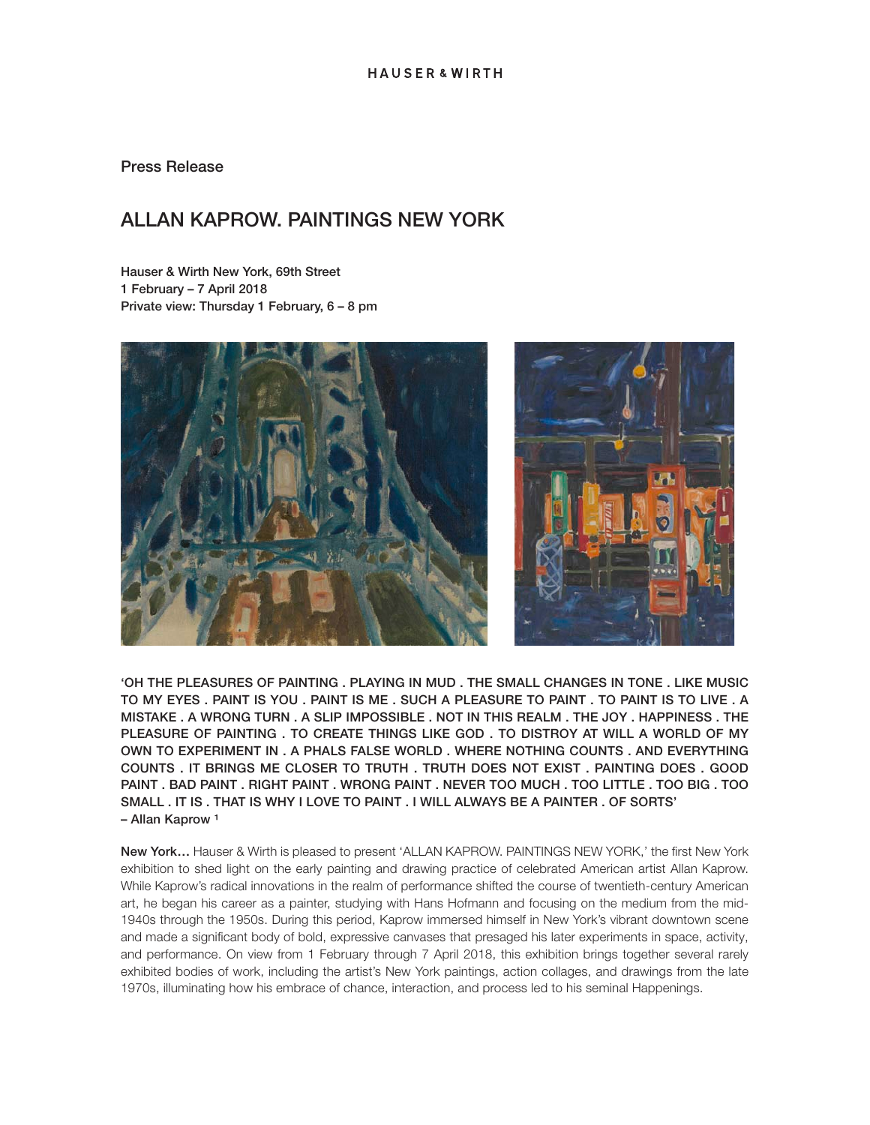Press Release

## ALLAN KAPROW. PAINTINGS NEW YORK

Hauser & Wirth New York, 69th Street 1 February – 7 April 2018 Private view: Thursday 1 February, 6 – 8 pm



'OH THE PLEASURES OF PAINTING . PLAYING IN MUD . THE SMALL CHANGES IN TONE . LIKE MUSIC TO MY EYES . PAINT IS YOU . PAINT IS ME . SUCH A PLEASURE TO PAINT . TO PAINT IS TO LIVE . A MISTAKE . A WRONG TURN . A SLIP IMPOSSIBLE . NOT IN THIS REALM . THE JOY . HAPPINESS . THE PLEASURE OF PAINTING . TO CREATE THINGS LIKE GOD . TO DISTROY AT WILL A WORLD OF MY OWN TO EXPERIMENT IN . A PHALS FALSE WORLD . WHERE NOTHING COUNTS . AND EVERYTHING COUNTS . IT BRINGS ME CLOSER TO TRUTH . TRUTH DOES NOT EXIST . PAINTING DOES . GOOD PAINT . BAD PAINT . RIGHT PAINT . WRONG PAINT . NEVER TOO MUCH . TOO LITTLE . TOO BIG . TOO SMALL . IT IS . THAT IS WHY I LOVE TO PAINT . I WILL ALWAYS BE A PAINTER . OF SORTS' – Allan Kaprow<sup>1</sup>

New York… Hauser & Wirth is pleased to present 'ALLAN KAPROW. PAINTINGS NEW YORK,' the first New York exhibition to shed light on the early painting and drawing practice of celebrated American artist Allan Kaprow. While Kaprow's radical innovations in the realm of performance shifted the course of twentieth-century American art, he began his career as a painter, studying with Hans Hofmann and focusing on the medium from the mid-1940s through the 1950s. During this period, Kaprow immersed himself in New York's vibrant downtown scene and made a significant body of bold, expressive canvases that presaged his later experiments in space, activity, and performance. On view from 1 February through 7 April 2018, this exhibition brings together several rarely exhibited bodies of work, including the artist's New York paintings, action collages, and drawings from the late 1970s, illuminating how his embrace of chance, interaction, and process led to his seminal Happenings.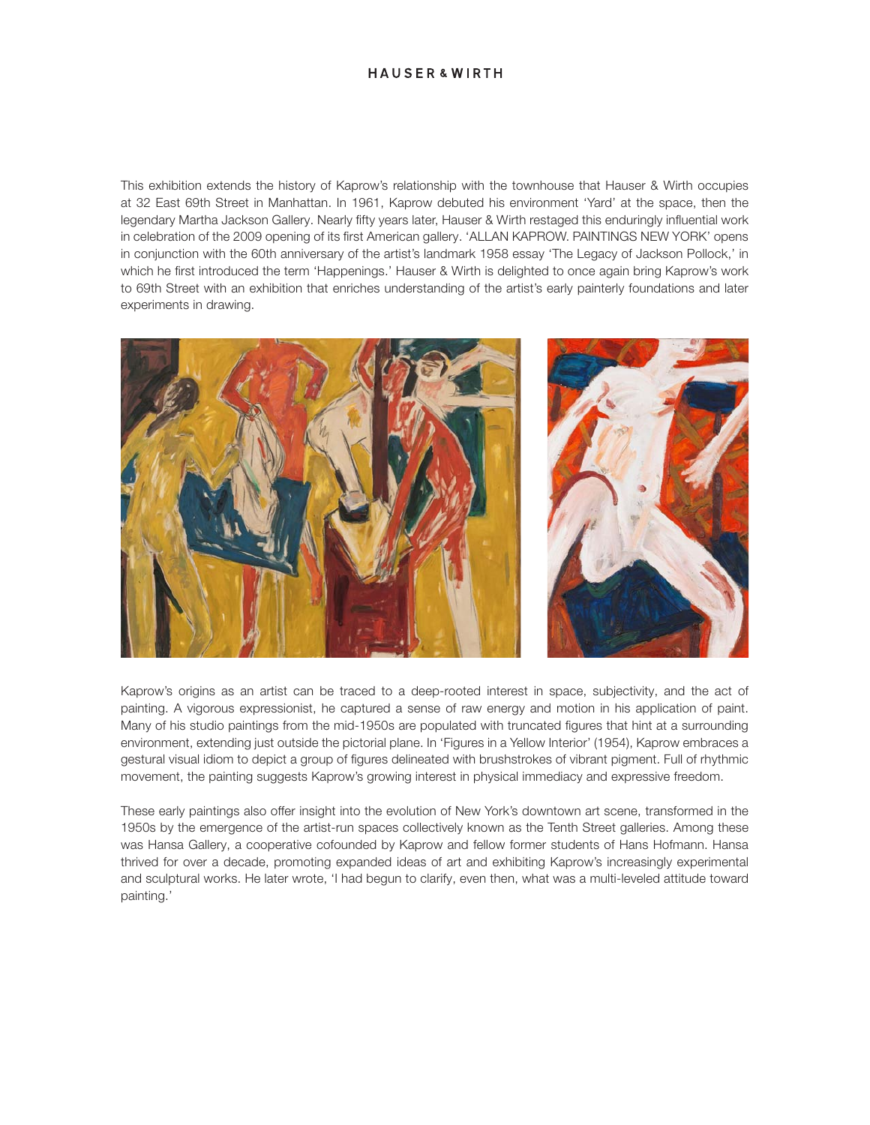This exhibition extends the history of Kaprow's relationship with the townhouse that Hauser & Wirth occupies at 32 East 69th Street in Manhattan. In 1961, Kaprow debuted his environment 'Yard' at the space, then the legendary Martha Jackson Gallery. Nearly fifty years later, Hauser & Wirth restaged this enduringly influential work in celebration of the 2009 opening of its first American gallery. 'ALLAN KAPROW. PAINTINGS NEW YORK' opens in conjunction with the 60th anniversary of the artist's landmark 1958 essay 'The Legacy of Jackson Pollock,' in which he first introduced the term 'Happenings.' Hauser & Wirth is delighted to once again bring Kaprow's work to 69th Street with an exhibition that enriches understanding of the artist's early painterly foundations and later experiments in drawing.



Kaprow's origins as an artist can be traced to a deep-rooted interest in space, subjectivity, and the act of painting. A vigorous expressionist, he captured a sense of raw energy and motion in his application of paint. Many of his studio paintings from the mid-1950s are populated with truncated figures that hint at a surrounding environment, extending just outside the pictorial plane. In 'Figures in a Yellow Interior' (1954), Kaprow embraces a gestural visual idiom to depict a group of figures delineated with brushstrokes of vibrant pigment. Full of rhythmic movement, the painting suggests Kaprow's growing interest in physical immediacy and expressive freedom.

These early paintings also offer insight into the evolution of New York's downtown art scene, transformed in the 1950s by the emergence of the artist-run spaces collectively known as the Tenth Street galleries. Among these was Hansa Gallery, a cooperative cofounded by Kaprow and fellow former students of Hans Hofmann. Hansa thrived for over a decade, promoting expanded ideas of art and exhibiting Kaprow's increasingly experimental and sculptural works. He later wrote, 'I had begun to clarify, even then, what was a multi-leveled attitude toward painting.'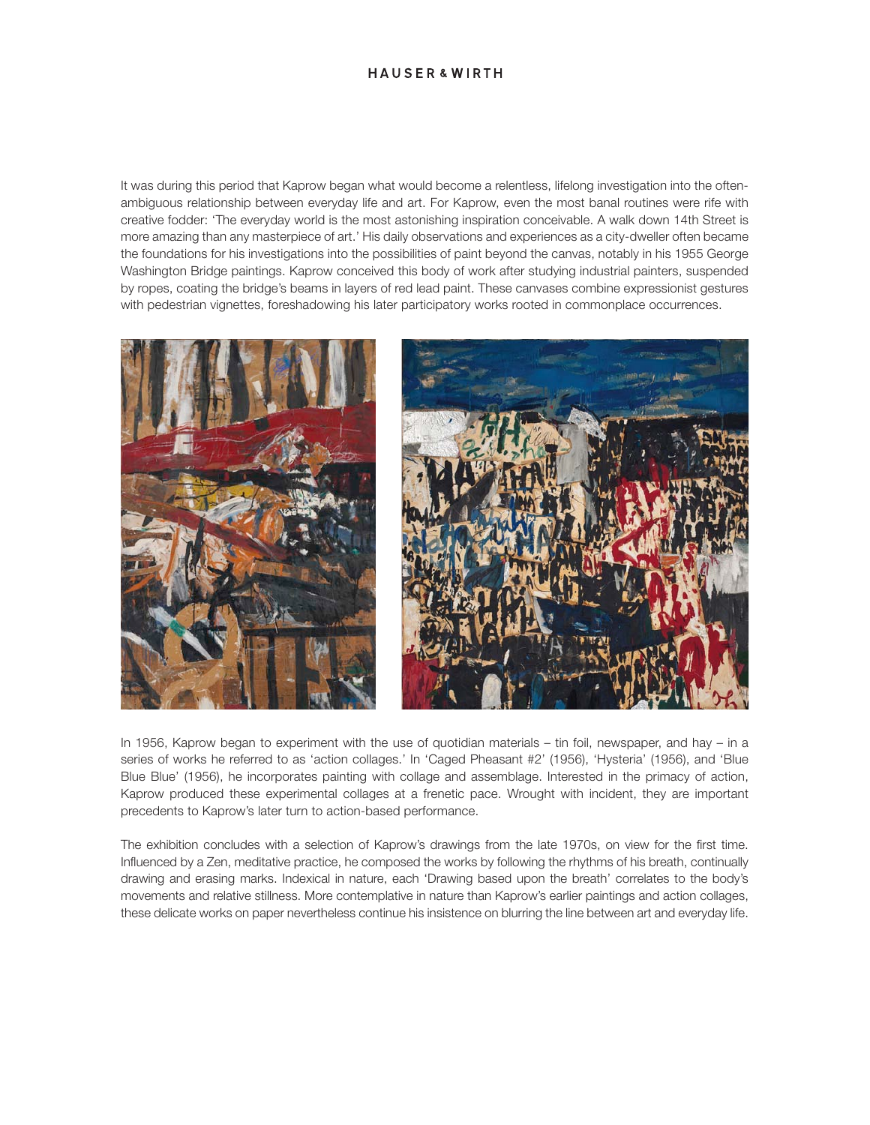## **HAUSER & WIRTH**

It was during this period that Kaprow began what would become a relentless, lifelong investigation into the oftenambiguous relationship between everyday life and art. For Kaprow, even the most banal routines were rife with creative fodder: 'The everyday world is the most astonishing inspiration conceivable. A walk down 14th Street is more amazing than any masterpiece of art.' His daily observations and experiences as a city-dweller often became the foundations for his investigations into the possibilities of paint beyond the canvas, notably in his 1955 George Washington Bridge paintings. Kaprow conceived this body of work after studying industrial painters, suspended by ropes, coating the bridge's beams in layers of red lead paint. These canvases combine expressionist gestures with pedestrian vignettes, foreshadowing his later participatory works rooted in commonplace occurrences.





In 1956, Kaprow began to experiment with the use of quotidian materials – tin foil, newspaper, and hay – in a series of works he referred to as 'action collages.' In 'Caged Pheasant #2' (1956), 'Hysteria' (1956), and 'Blue Blue Blue' (1956), he incorporates painting with collage and assemblage. Interested in the primacy of action, Kaprow produced these experimental collages at a frenetic pace. Wrought with incident, they are important precedents to Kaprow's later turn to action-based performance.

The exhibition concludes with a selection of Kaprow's drawings from the late 1970s, on view for the first time. Influenced by a Zen, meditative practice, he composed the works by following the rhythms of his breath, continually drawing and erasing marks. Indexical in nature, each 'Drawing based upon the breath' correlates to the body's movements and relative stillness. More contemplative in nature than Kaprow's earlier paintings and action collages, these delicate works on paper nevertheless continue his insistence on blurring the line between art and everyday life.